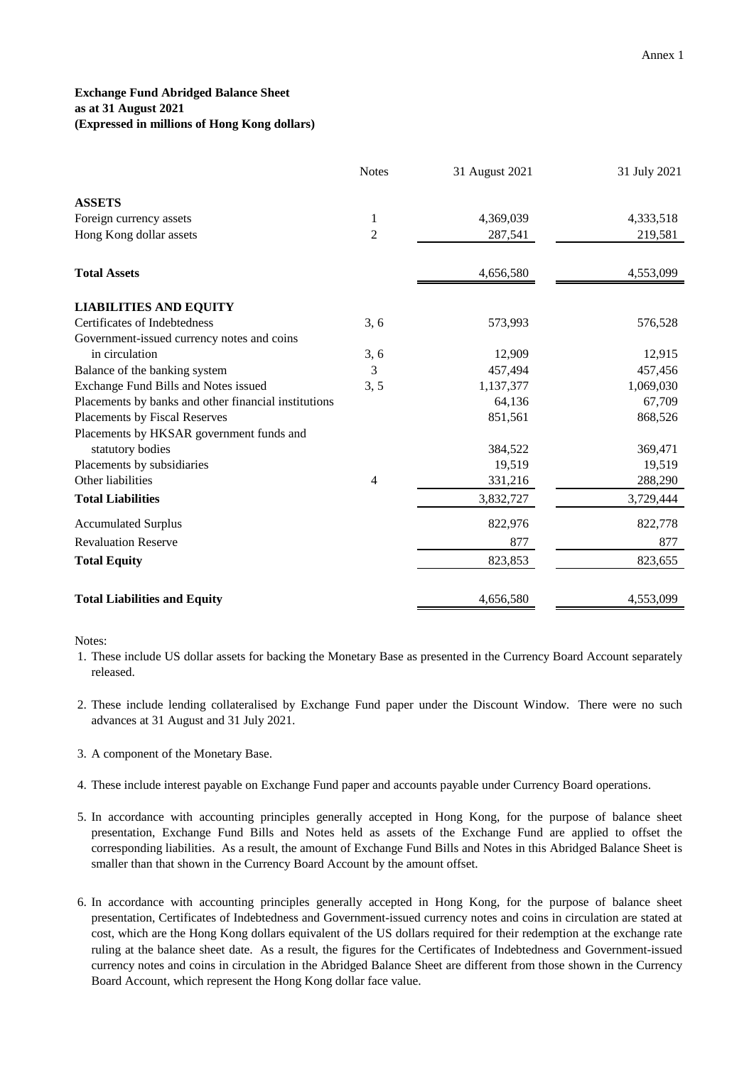## **Exchange Fund Abridged Balance Sheet as at 31 August 2021 (Expressed in millions of Hong Kong dollars)**

|                                                      | <b>Notes</b>   | 31 August 2021 | 31 July 2021 |
|------------------------------------------------------|----------------|----------------|--------------|
| <b>ASSETS</b>                                        |                |                |              |
| Foreign currency assets                              | 1              | 4,369,039      | 4,333,518    |
| Hong Kong dollar assets                              | $\overline{2}$ | 287,541        | 219,581      |
| <b>Total Assets</b>                                  |                | 4,656,580      | 4,553,099    |
| <b>LIABILITIES AND EQUITY</b>                        |                |                |              |
| Certificates of Indebtedness                         | 3, 6           | 573,993        | 576,528      |
| Government-issued currency notes and coins           |                |                |              |
| in circulation                                       | 3, 6           | 12,909         | 12,915       |
| Balance of the banking system                        | 3              | 457,494        | 457,456      |
| Exchange Fund Bills and Notes issued                 | 3, 5           | 1,137,377      | 1,069,030    |
| Placements by banks and other financial institutions |                | 64,136         | 67,709       |
| Placements by Fiscal Reserves                        |                | 851,561        | 868,526      |
| Placements by HKSAR government funds and             |                |                |              |
| statutory bodies                                     |                | 384,522        | 369,471      |
| Placements by subsidiaries                           |                | 19,519         | 19,519       |
| Other liabilities                                    | $\overline{4}$ | 331,216        | 288,290      |
| <b>Total Liabilities</b>                             |                | 3,832,727      | 3,729,444    |
| <b>Accumulated Surplus</b>                           |                | 822,976        | 822,778      |
| <b>Revaluation Reserve</b>                           |                | 877            | 877          |
| <b>Total Equity</b>                                  |                | 823,853        | 823,655      |
| <b>Total Liabilities and Equity</b>                  |                | 4,656,580      | 4,553,099    |

Notes:

- 1. These include US dollar assets for backing the Monetary Base as presented in the Currency Board Account separately released.
- 2. These include lending collateralised by Exchange Fund paper under the Discount Window. There were no such advances at 31 August and 31 July 2021.
- 3. A component of the Monetary Base.
- 4. These include interest payable on Exchange Fund paper and accounts payable under Currency Board operations.
- 5. In accordance with accounting principles generally accepted in Hong Kong, for the purpose of balance sheet presentation, Exchange Fund Bills and Notes held as assets of the Exchange Fund are applied to offset the corresponding liabilities. As a result, the amount of Exchange Fund Bills and Notes in this Abridged Balance Sheet is smaller than that shown in the Currency Board Account by the amount offset.
- 6. In accordance with accounting principles generally accepted in Hong Kong, for the purpose of balance sheet presentation, Certificates of Indebtedness and Government-issued currency notes and coins in circulation are stated at cost, which are the Hong Kong dollars equivalent of the US dollars required for their redemption at the exchange rate ruling at the balance sheet date. As a result, the figures for the Certificates of Indebtedness and Government-issued currency notes and coins in circulation in the Abridged Balance Sheet are different from those shown in the Currency Board Account, which represent the Hong Kong dollar face value.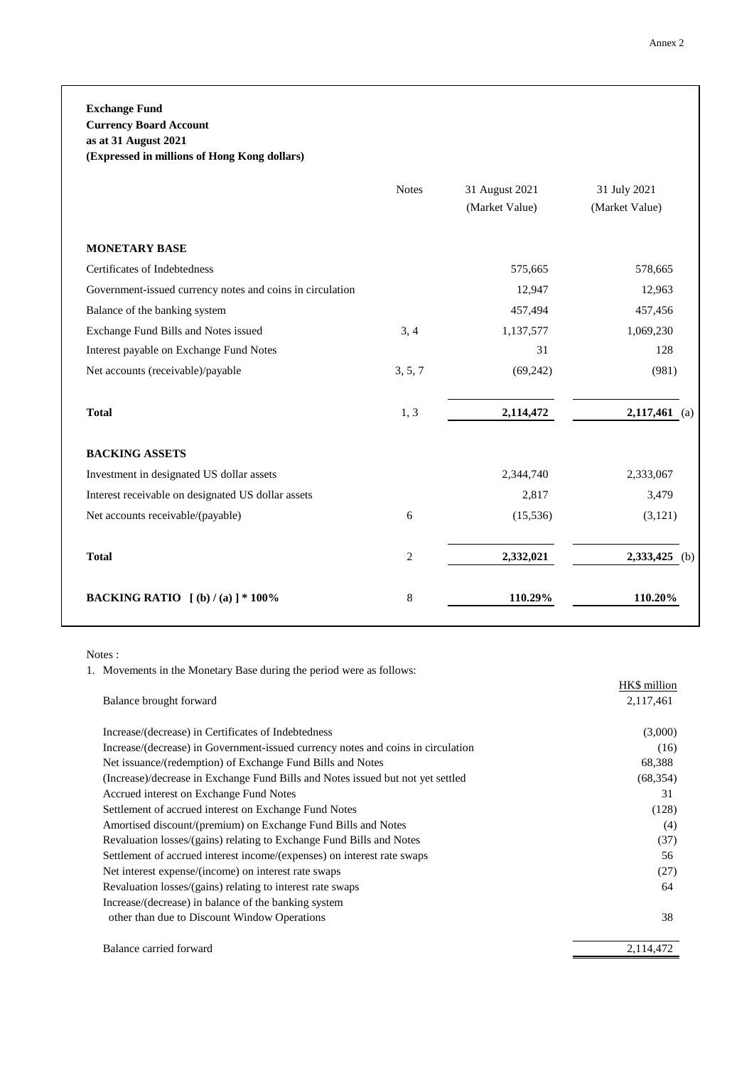**Exchange Fund Currency Board Account**

**as at 31 August 2021**

**(Expressed in millions of Hong Kong dollars)**

|                                                           | <b>Notes</b>   | 31 August 2021<br>(Market Value) | 31 July 2021<br>(Market Value) |
|-----------------------------------------------------------|----------------|----------------------------------|--------------------------------|
| <b>MONETARY BASE</b>                                      |                |                                  |                                |
| Certificates of Indebtedness                              |                | 575,665                          | 578,665                        |
| Government-issued currency notes and coins in circulation |                | 12,947                           | 12,963                         |
| Balance of the banking system                             |                | 457,494                          | 457,456                        |
| Exchange Fund Bills and Notes issued                      | 3, 4           | 1,137,577                        | 1,069,230                      |
| Interest payable on Exchange Fund Notes                   |                | 31                               | 128                            |
| Net accounts (receivable)/payable                         | 3, 5, 7        | (69, 242)                        | (981)                          |
| <b>Total</b>                                              | 1, 3           | 2,114,472                        | 2,117,461<br>(a)               |
| <b>BACKING ASSETS</b>                                     |                |                                  |                                |
| Investment in designated US dollar assets                 |                | 2,344,740                        | 2,333,067                      |
| Interest receivable on designated US dollar assets        |                | 2,817                            | 3,479                          |
| Net accounts receivable/(payable)                         | 6              | (15, 536)                        | (3,121)                        |
| <b>Total</b>                                              | $\overline{c}$ | 2,332,021                        | 2,333,425<br>(b)               |
| <b>BACKING RATIO</b> $[(b)/(a)]$ * 100%                   | 8              | 110.29%                          | 110.20%                        |

Notes :

1. Movements in the Monetary Base during the period were as follows:

|                                                                                  | HK\$ million |
|----------------------------------------------------------------------------------|--------------|
| Balance brought forward                                                          | 2,117,461    |
| Increase/(decrease) in Certificates of Indebtedness                              | (3,000)      |
| Increase/(decrease) in Government-issued currency notes and coins in circulation | (16)         |
| Net issuance/(redemption) of Exchange Fund Bills and Notes                       | 68,388       |
| (Increase)/decrease in Exchange Fund Bills and Notes issued but not yet settled  | (68, 354)    |
| Accrued interest on Exchange Fund Notes                                          | 31           |
| Settlement of accrued interest on Exchange Fund Notes                            | (128)        |
| Amortised discount/(premium) on Exchange Fund Bills and Notes                    | (4)          |
| Revaluation losses/(gains) relating to Exchange Fund Bills and Notes             | (37)         |
| Settlement of accrued interest income/(expenses) on interest rate swaps          | 56           |
| Net interest expense/(income) on interest rate swaps                             | (27)         |
| Revaluation losses/(gains) relating to interest rate swaps                       | 64           |
| Increase/(decrease) in balance of the banking system                             |              |
| other than due to Discount Window Operations                                     | 38           |
| Balance carried forward                                                          | 2,114,472    |